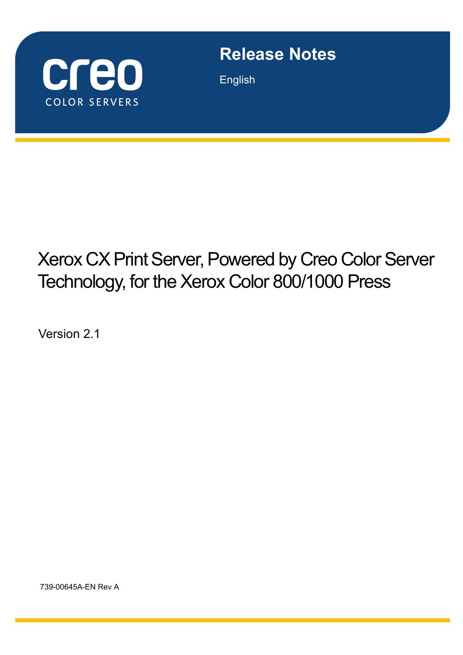

# **Release Notes**

English

# Xerox CX Print Server, Powered by Creo Color Server Technology, for the Xerox Color 800/1000 Press

Version 2.1

739-00645A-EN Rev A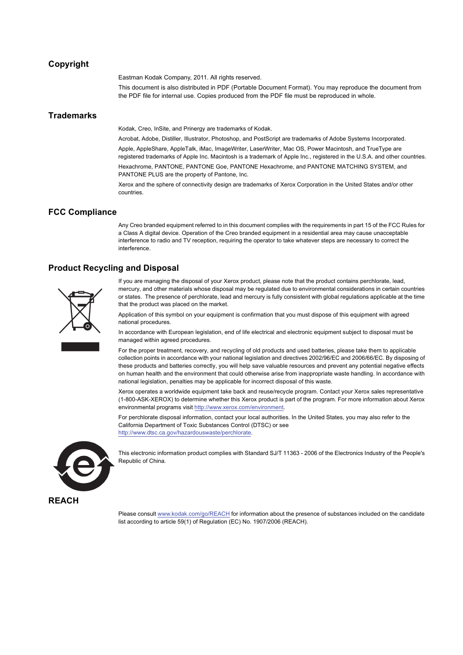#### **Copyright**

Eastman Kodak Company, 2011. All rights reserved.

This document is also distributed in PDF (Portable Document Format). You may reproduce the document from the PDF file for internal use. Copies produced from the PDF file must be reproduced in whole.

#### **Trademarks**

Kodak, Creo, InSite, and Prinergy are trademarks of Kodak.

Acrobat, Adobe, Distiller, Illustrator, Photoshop, and PostScript are trademarks of Adobe Systems Incorporated.

Apple, AppleShare, AppleTalk, iMac, ImageWriter, LaserWriter, Mac OS, Power Macintosh, and TrueType are registered trademarks of Apple Inc. Macintosh is a trademark of Apple Inc., registered in the U.S.A. and other countries. Hexachrome, PANTONE, PANTONE Goe, PANTONE Hexachrome, and PANTONE MATCHING SYSTEM, and PANTONE PLUS are the property of Pantone, Inc.

Xerox and the sphere of connectivity design are trademarks of Xerox Corporation in the United States and/or other countries.

#### **FCC Compliance**

Any Creo branded equipment referred to in this document complies with the requirements in part 15 of the FCC Rules for a Class A digital device. Operation of the Creo branded equipment in a residential area may cause unacceptable interference to radio and TV reception, requiring the operator to take whatever steps are necessary to correct the interference.

#### **Product Recycling and Disposal**



If you are managing the disposal of your Xerox product, please note that the product contains perchlorate, lead, mercury, and other materials whose disposal may be regulated due to environmental considerations in certain countries or states. The presence of perchlorate, lead and mercury is fully consistent with global regulations applicable at the time that the product was placed on the market.

Application of this symbol on your equipment is confirmation that you must dispose of this equipment with agreed national procedures.

In accordance with European legislation, end of life electrical and electronic equipment subject to disposal must be managed within agreed procedures.

For the proper treatment, recovery, and recycling of old products and used batteries, please take them to applicable collection points in accordance with your national legislation and directives 2002/96/EC and 2006/66/EC. By disposing of these products and batteries correctly, you will help save valuable resources and prevent any potential negative effects on human health and the environment that could otherwise arise from inappropriate waste handling. In accordance with national legislation, penalties may be applicable for incorrect disposal of this waste.

Xerox operates a worldwide equipment take back and reuse/recycle program. Contact your Xerox sales representative (1-800-ASK-XEROX) to determine whether this Xerox product is part of the program. For more information about Xerox environmental programs visit [http://www.xerox.com/environment.](http://www.xerox.com/environment)

For perchlorate disposal information, contact your local authorities. In the United States, you may also refer to the California Department of Toxic Substances Control (DTSC) or see [http://www.dtsc.ca.gov/hazardouswaste/perchlorate.](http://www.xerox.com/environment)



This electronic information product complies with Standard SJ/T 11363 - 2006 of the Electronics Industry of the People's Republic of China.

Please consult www.kodak.com/go/REACH for information about the presence of substances included on the candidate list according to article 59(1) of Regulation (EC) No. 1907/2006 (REACH).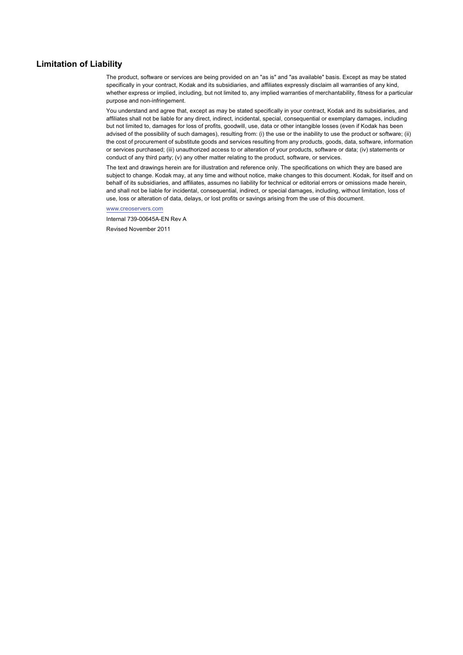#### **Limitation of Liability**

The product, software or services are being provided on an "as is" and "as available" basis. Except as may be stated specifically in your contract, Kodak and its subsidiaries, and affiliates expressly disclaim all warranties of any kind, whether express or implied, including, but not limited to, any implied warranties of merchantability, fitness for a particular purpose and non-infringement.

You understand and agree that, except as may be stated specifically in your contract, Kodak and its subsidiaries, and affiliates shall not be liable for any direct, indirect, incidental, special, consequential or exemplary damages, including but not limited to, damages for loss of profits, goodwill, use, data or other intangible losses (even if Kodak has been advised of the possibility of such damages), resulting from: (i) the use or the inability to use the product or software; (ii) the cost of procurement of substitute goods and services resulting from any products, goods, data, software, information or services purchased; (iii) unauthorized access to or alteration of your products, software or data; (iv) statements or conduct of any third party; (v) any other matter relating to the product, software, or services.

The text and drawings herein are for illustration and reference only. The specifications on which they are based are subject to change. Kodak may, at any time and without notice, make changes to this document. Kodak, for itself and on behalf of its subsidiaries, and affiliates, assumes no liability for technical or editorial errors or omissions made herein, and shall not be liable for incidental, consequential, indirect, or special damages, including, without limitation, loss of use, loss or alteration of data, delays, or lost profits or savings arising from the use of this document.

[www.creoservers.com](http://www.creoservers.com)

Internal 739-00645A-EN Rev A Revised November 2011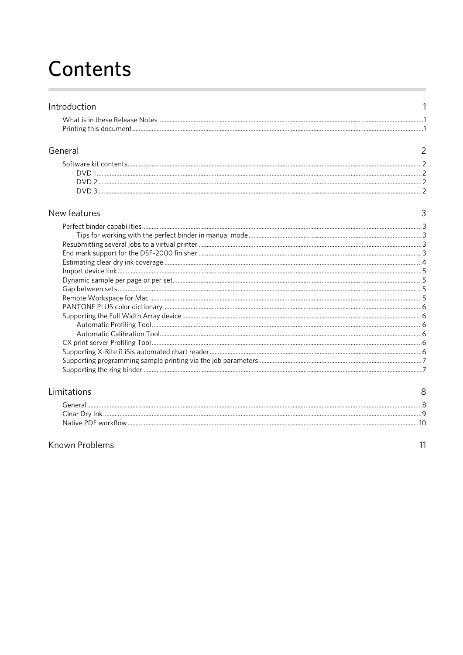# Contents

| Printing this document. |  |
|-------------------------|--|

#### General

#### New features

| w features: |  |
|-------------|--|
|             |  |
|             |  |
|             |  |
|             |  |
|             |  |
|             |  |
|             |  |
|             |  |
|             |  |
|             |  |
|             |  |
|             |  |
|             |  |
|             |  |
|             |  |
|             |  |
|             |  |

#### Limitations

| General             |  |
|---------------------|--|
| Clear Dry Ink.      |  |
| Native PDF workflow |  |

#### Known Problems

 $\,8\,$ 

 $\mathbf{1}$ 

 $\overline{2}$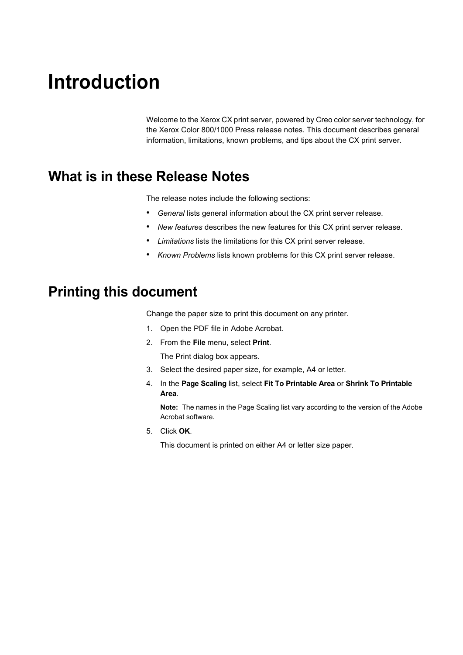# <span id="page-6-0"></span>**Introduction**

Welcome to the Xerox CX print server, powered by Creo color server technology, for the Xerox Color 800/1000 Press release notes. This document describes general information, limitations, known problems, and tips about the CX print server.

## <span id="page-6-1"></span>**What is in these Release Notes**

The release notes include the following sections:

- *[General](#page-7-0)* lists general information about the CX print server release.
- *[New features](#page-8-0)* describes the new features for this CX print server release.
- *[Limitations](#page-13-0)* lists the limitations for this CX print server release.
- *[Known Problems](#page-16-0)* lists known problems for this CX print server release.

## <span id="page-6-2"></span>**Printing this document**

Change the paper size to print this document on any printer.

- 1. Open the PDF file in Adobe Acrobat.
- 2. From the **File** menu, select **Print**.

The Print dialog box appears.

- 3. Select the desired paper size, for example, A4 or letter.
- 4. In the **Page Scaling** list, select **Fit To Printable Area** or **Shrink To Printable Area**.

**Note:** The names in the Page Scaling list vary according to the version of the Adobe Acrobat software.

5. Click **OK**.

This document is printed on either A4 or letter size paper.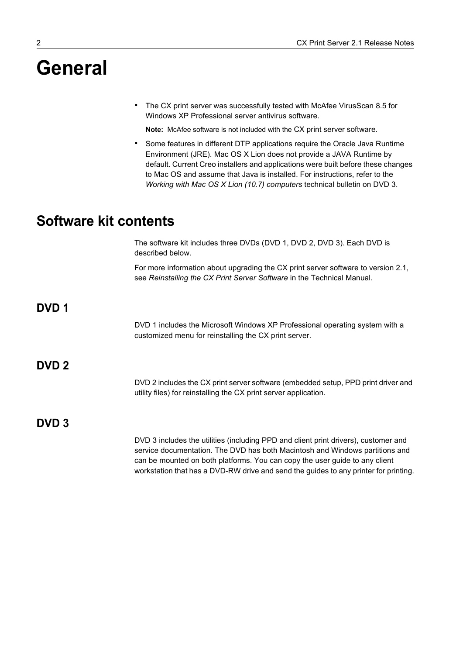# <span id="page-7-0"></span>**General**

• The CX print server was successfully tested with McAfee VirusScan 8.5 for Windows XP Professional server antivirus software.

**Note:** McAfee software is not included with the CX print server software.

• Some features in different DTP applications require the Oracle Java Runtime Environment (JRE). Mac OS X Lion does not provide a JAVA Runtime by default. Current Creo installers and applications were built before these changes to Mac OS and assume that Java is installed. For instructions, refer to the *Working with Mac OS X Lion (10.7) computers* technical bulletin on DVD 3.

## <span id="page-7-1"></span>**Software kit contents**

The software kit includes three DVDs (DVD 1, DVD 2, DVD 3). Each DVD is described below.

For more information about upgrading the CX print server software to version 2.1, see *Reinstalling the CX Print Server Software* in the Technical Manual.

<span id="page-7-2"></span>**DVD 1**

DVD 1 includes the Microsoft Windows XP Professional operating system with a customized menu for reinstalling the CX print server.

#### <span id="page-7-3"></span>**DVD 2**

DVD 2 includes the CX print server software (embedded setup, PPD print driver and utility files) for reinstalling the CX print server application.

#### <span id="page-7-4"></span>**DVD 3**

DVD 3 includes the utilities (including PPD and client print drivers), customer and service documentation. The DVD has both Macintosh and Windows partitions and can be mounted on both platforms. You can copy the user guide to any client workstation that has a DVD-RW drive and send the guides to any printer for printing.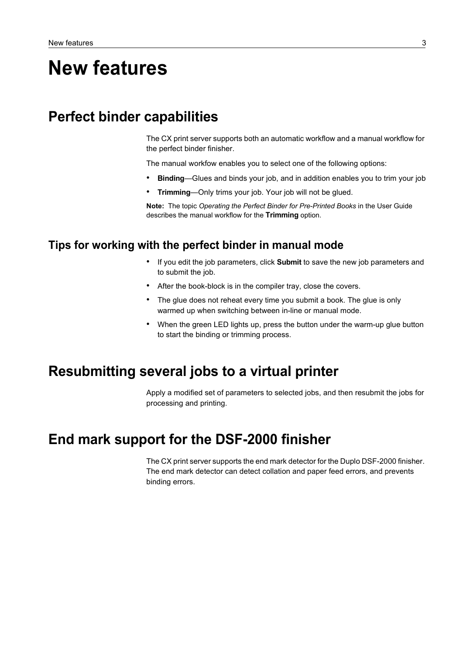# <span id="page-8-0"></span>**New features**

## <span id="page-8-1"></span>**Perfect binder capabilities**

The CX print server supports both an automatic workflow and a manual workflow for the perfect binder finisher.

The manual workfow enables you to select one of the following options:

- **Binding**—Glues and binds your job, and in addition enables you to trim your job
- **Trimming**—Only trims your job. Your job will not be glued.

**Note:** The topic *Operating the Perfect Binder for Pre-Printed Books* in the User Guide describes the manual workflow for the **Trimming** option.

#### <span id="page-8-2"></span>**Tips for working with the perfect binder in manual mode**

- If you edit the job parameters, click **Submit** to save the new job parameters and to submit the job.
- After the book-block is in the compiler tray, close the covers.
- The glue does not reheat every time you submit a book. The glue is only warmed up when switching between in-line or manual mode.
- When the green LED lights up, press the button under the warm-up glue button to start the binding or trimming process.

### <span id="page-8-3"></span>**Resubmitting several jobs to a virtual printer**

Apply a modified set of parameters to selected jobs, and then resubmit the jobs for processing and printing.

## <span id="page-8-4"></span>**End mark support for the DSF-2000 finisher**

The CX print server supports the end mark detector for the Duplo DSF-2000 finisher. The end mark detector can detect collation and paper feed errors, and prevents binding errors.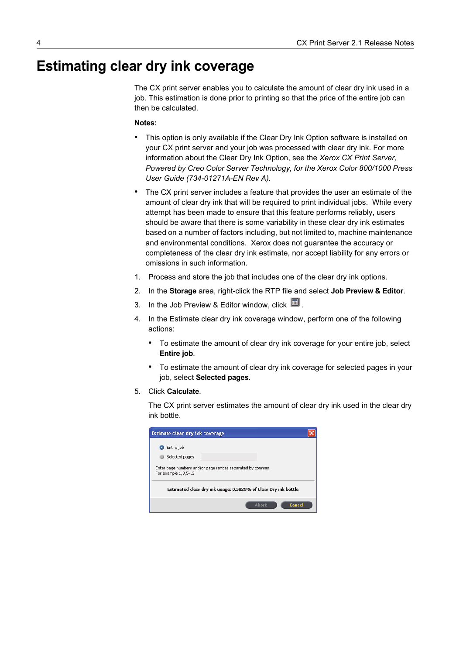# <span id="page-9-0"></span>**Estimating clear dry ink coverage**

The CX print server enables you to calculate the amount of clear dry ink used in a job. This estimation is done prior to printing so that the price of the entire job can then be calculated.

#### **Notes:**

- This option is only available if the Clear Dry Ink Option software is installed on your CX print server and your job was processed with clear dry ink. For more information about the Clear Dry Ink Option, see the *Xerox CX Print Server, Powered by Creo Color Server Technology, for the Xerox Color 800/1000 Press User Guide (734-01271A-EN Rev A).*
- The CX print server includes a feature that provides the user an estimate of the amount of clear dry ink that will be required to print individual jobs. While every attempt has been made to ensure that this feature performs reliably, users should be aware that there is some variability in these clear dry ink estimates based on a number of factors including, but not limited to, machine maintenance and environmental conditions. Xerox does not guarantee the accuracy or completeness of the clear dry ink estimate, nor accept liability for any errors or omissions in such information.
- 1. Process and store the job that includes one of the clear dry ink options.
- 2. In the **Storage** area, right-click the RTP file and select **Job Preview & Editor**.
- 3. In the Job Preview & Editor window, click  $\mathbb{E}$ .
- 4. In the Estimate clear dry ink coverage window, perform one of the following actions:
	- To estimate the amount of clear dry ink coverage for your entire job, select **Entire job**.
	- To estimate the amount of clear dry ink coverage for selected pages in your job, select **Selected pages**.
- 5. Click **Calculate**.

The CX print server estimates the amount of clear dry ink used in the clear dry ink bottle.

| Estimate clear dry ink coverage                                                    |  |
|------------------------------------------------------------------------------------|--|
| Entire job                                                                         |  |
| Selected pages                                                                     |  |
| Enter page numbers and/or page ranges separated by commas.<br>For example 1,3,5-12 |  |
| Estimated clear dry ink usage: 0.5829% of Clear Dry ink bottle                     |  |
| Cancel<br><b>Abort</b>                                                             |  |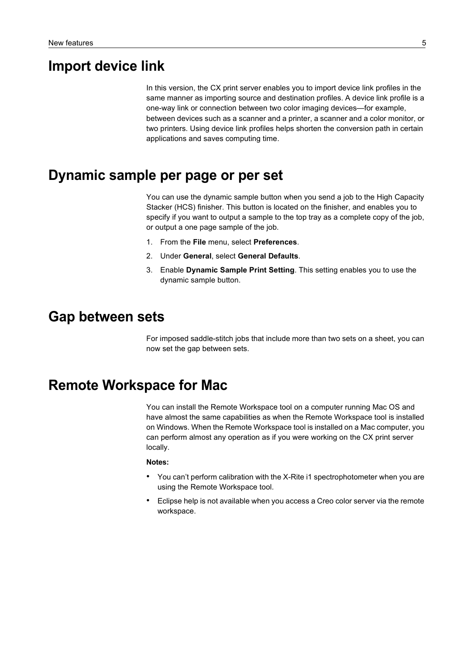## <span id="page-10-0"></span>**Import device link**

In this version, the CX print server enables you to import device link profiles in the same manner as importing source and destination profiles. A device link profile is a one-way link or connection between two color imaging devices—for example, between devices such as a scanner and a printer, a scanner and a color monitor, or two printers. Using device link profiles helps shorten the conversion path in certain applications and saves computing time.

### <span id="page-10-1"></span>**Dynamic sample per page or per set**

You can use the dynamic sample button when you send a job to the High Capacity Stacker (HCS) finisher. This button is located on the finisher, and enables you to specify if you want to output a sample to the top tray as a complete copy of the job, or output a one page sample of the job.

- 1. From the **File** menu, select **Preferences**.
- 2. Under **General**, select **General Defaults**.
- 3. Enable **Dynamic Sample Print Setting**. This setting enables you to use the dynamic sample button.

#### <span id="page-10-2"></span>**Gap between sets**

For imposed saddle-stitch jobs that include more than two sets on a sheet, you can now set the gap between sets.

### <span id="page-10-3"></span>**Remote Workspace for Mac**

You can install the Remote Workspace tool on a computer running Mac OS and have almost the same capabilities as when the Remote Workspace tool is installed on Windows. When the Remote Workspace tool is installed on a Mac computer, you can perform almost any operation as if you were working on the CX print server locally.

#### **Notes:**

- You can't perform calibration with the X-Rite i1 spectrophotometer when you are using the Remote Workspace tool.
- Eclipse help is not available when you access a Creo color server via the remote workspace.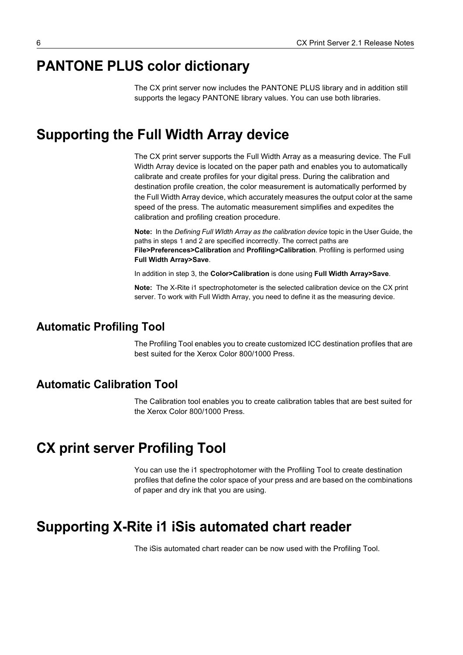# <span id="page-11-0"></span>**PANTONE PLUS color dictionary**

The CX print server now includes the PANTONE PLUS library and in addition still supports the legacy PANTONE library values. You can use both libraries.

### <span id="page-11-1"></span>**Supporting the Full Width Array device**

The CX print server supports the Full Width Array as a measuring device. The Full Width Array device is located on the paper path and enables you to automatically calibrate and create profiles for your digital press. During the calibration and destination profile creation, the color measurement is automatically performed by the Full Width Array device, which accurately measures the output color at the same speed of the press. The automatic measurement simplifies and expedites the calibration and profiling creation procedure.

**Note:** In the *Defining Full WIdth Array as the calibration device* topic in the User Guide, the paths in steps 1 and 2 are specified incorrectly. The correct paths are **File>Preferences>Calibration** and **Profiling>Calibration**. Profiling is performed using **Full Width Array>Save**.

In addition in step 3, the **Color>Calibration** is done using **Full Width Array>Save**.

**Note:** The X-Rite i1 spectrophotometer is the selected calibration device on the CX print server. To work with Full Width Array, you need to define it as the measuring device.

#### <span id="page-11-2"></span>**Automatic Profiling Tool**

The Profiling Tool enables you to create customized ICC destination profiles that are best suited for the Xerox Color 800/1000 Press.

#### <span id="page-11-3"></span>**Automatic Calibration Tool**

The Calibration tool enables you to create calibration tables that are best suited for the Xerox Color 800/1000 Press.

### <span id="page-11-4"></span>**CX print server Profiling Tool**

You can use the i1 spectrophotomer with the Profiling Tool to create destination profiles that define the color space of your press and are based on the combinations of paper and dry ink that you are using.

### <span id="page-11-5"></span>**Supporting X-Rite i1 iSis automated chart reader**

The iSis automated chart reader can be now used with the Profiling Tool.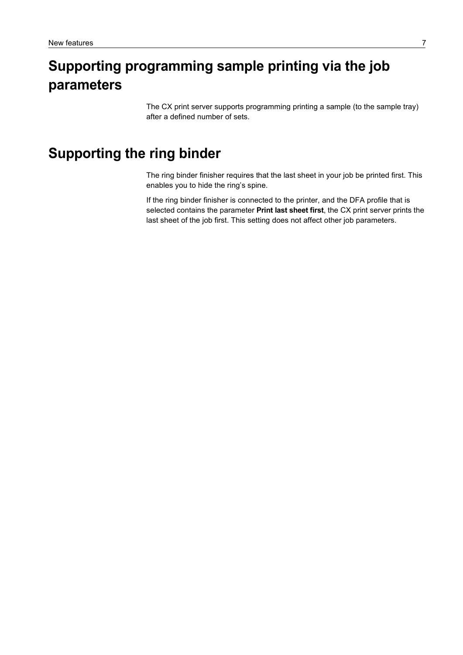# <span id="page-12-0"></span>**Supporting programming sample printing via the job parameters**

The CX print server supports programming printing a sample (to the sample tray) after a defined number of sets.

## <span id="page-12-1"></span>**Supporting the ring binder**

The ring binder finisher requires that the last sheet in your job be printed first. This enables you to hide the ring's spine.

If the ring binder finisher is connected to the printer, and the DFA profile that is selected contains the parameter **Print last sheet first**, the CX print server prints the last sheet of the job first. This setting does not affect other job parameters.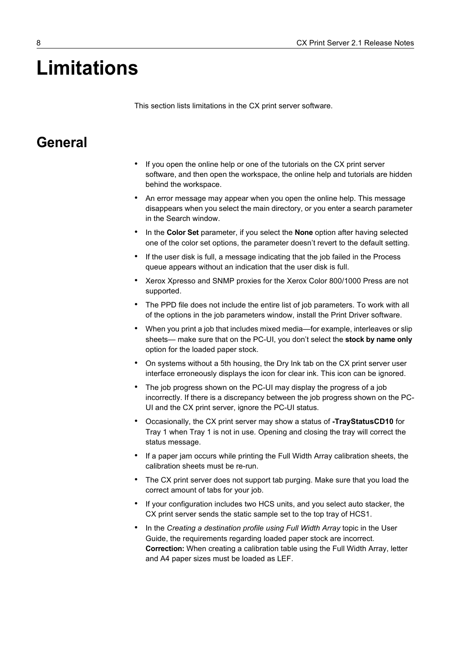# <span id="page-13-0"></span>**Limitations**

This section lists limitations in the CX print server software.

#### <span id="page-13-1"></span>**General**

- If you open the online help or one of the tutorials on the CX print server software, and then open the workspace, the online help and tutorials are hidden behind the workspace.
- An error message may appear when you open the online help. This message disappears when you select the main directory, or you enter a search parameter in the Search window.
- In the **Color Set** parameter, if you select the **None** option after having selected one of the color set options, the parameter doesn't revert to the default setting.
- If the user disk is full, a message indicating that the job failed in the Process queue appears without an indication that the user disk is full.
- Xerox Xpresso and SNMP proxies for the Xerox Color 800/1000 Press are not supported.
- The PPD file does not include the entire list of job parameters. To work with all of the options in the job parameters window, install the Print Driver software.
- When you print a job that includes mixed media—for example, interleaves or slip sheets— make sure that on the PC-UI, you don't select the **stock by name only** option for the loaded paper stock.
- On systems without a 5th housing, the Dry Ink tab on the CX print server user interface erroneously displays the icon for clear ink. This icon can be ignored.
- The job progress shown on the PC-UI may display the progress of a job incorrectly. If there is a discrepancy between the job progress shown on the PC-UI and the CX print server, ignore the PC-UI status.
- Occasionally, the CX print server may show a status of **-TrayStatusCD10** for Tray 1 when Tray 1 is not in use. Opening and closing the tray will correct the status message.
- If a paper jam occurs while printing the Full Width Array calibration sheets, the calibration sheets must be re-run.
- The CX print server does not support tab purging. Make sure that you load the correct amount of tabs for your job.
- If your configuration includes two HCS units, and you select auto stacker, the CX print server sends the static sample set to the top tray of HCS1.
- In the *Creating a destination profile using Full Width Array* topic in the User Guide, the requirements regarding loaded paper stock are incorrect. **Correction:** When creating a calibration table using the Full Width Array, letter and A4 paper sizes must be loaded as LEF.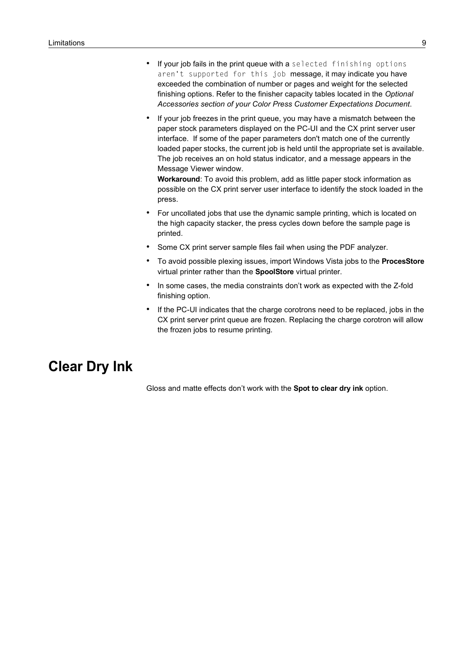- If your job fails in the print queue with a selected finishing options aren't supported for this job message, it may indicate you have exceeded the combination of number or pages and weight for the selected finishing options. Refer to the finisher capacity tables located in the *Optional Accessories section of your Color Press Customer Expectations Document*.
- If your job freezes in the print queue, you may have a mismatch between the paper stock parameters displayed on the PC-UI and the CX print server user interface. If some of the paper parameters don't match one of the currently loaded paper stocks, the current job is held until the appropriate set is available. The job receives an on hold status indicator, and a message appears in the Message Viewer window.

**Workaround**: To avoid this problem, add as little paper stock information as possible on the CX print server user interface to identify the stock loaded in the press.

- For uncollated jobs that use the dynamic sample printing, which is located on the high capacity stacker, the press cycles down before the sample page is printed.
- Some CX print server sample files fail when using the PDF analyzer.
- To avoid possible plexing issues, import Windows Vista jobs to the **ProcesStore** virtual printer rather than the **SpoolStore** virtual printer.
- In some cases, the media constraints don't work as expected with the Z-fold finishing option.
- If the PC-UI indicates that the charge corotrons need to be replaced, jobs in the CX print server print queue are frozen. Replacing the charge corotron will allow the frozen jobs to resume printing.

## **Clear Dry Ink**

Gloss and matte effects don't work with the **Spot to clear dry ink** option.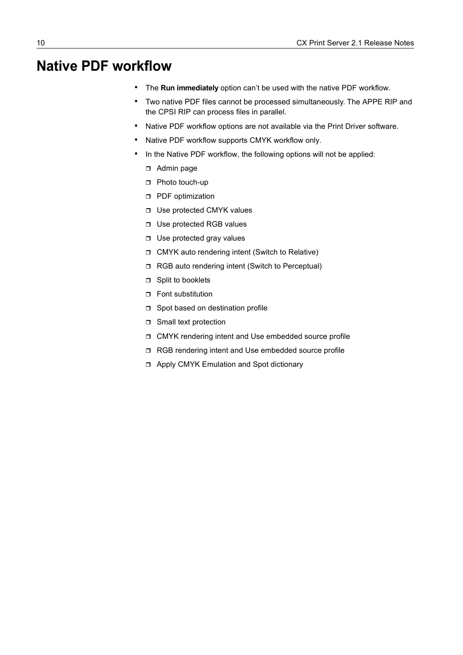## <span id="page-15-0"></span>**Native PDF workflow**

- The **Run immediately** option can't be used with the native PDF workflow.
- Two native PDF files cannot be processed simultaneously. The APPE RIP and the CPSI RIP can process files in parallel.
- Native PDF workflow options are not available via the Print Driver software.
- Native PDF workflow supports CMYK workflow only.
- In the Native PDF workflow, the following options will not be applied:
	- Admin page
	- □ Photo touch-up
	- **D** PDF optimization
	- □ Use protected CMYK values
	- □ Use protected RGB values
	- □ Use protected gray values
	- CMYK auto rendering intent (Switch to Relative)
	- □ RGB auto rendering intent (Switch to Perceptual)
	- □ Split to booklets
	- **D** Font substitution
	- □ Spot based on destination profile
	- **D** Small text protection
	- CMYK rendering intent and Use embedded source profile
	- □ RGB rendering intent and Use embedded source profile
	- Apply CMYK Emulation and Spot dictionary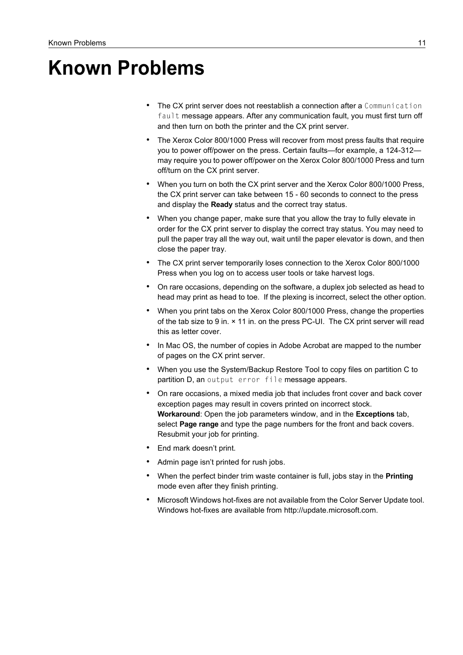# <span id="page-16-0"></span>**Known Problems**

- The CX print server does not reestablish a connection after a Communication fault message appears. After any communication fault, you must first turn off and then turn on both the printer and the CX print server.
- The Xerox Color 800/1000 Press will recover from most press faults that require you to power off/power on the press. Certain faults—for example, a 124-312 may require you to power off/power on the Xerox Color 800/1000 Press and turn off/turn on the CX print server.
- When you turn on both the CX print server and the Xerox Color 800/1000 Press, the CX print server can take between 15 - 60 seconds to connect to the press and display the **Ready** status and the correct tray status.
- When you change paper, make sure that you allow the tray to fully elevate in order for the CX print server to display the correct tray status. You may need to pull the paper tray all the way out, wait until the paper elevator is down, and then close the paper tray.
- The CX print server temporarily loses connection to the Xerox Color 800/1000 Press when you log on to access user tools or take harvest logs.
- On rare occasions, depending on the software, a duplex job selected as head to head may print as head to toe. If the plexing is incorrect, select the other option.
- When you print tabs on the Xerox Color 800/1000 Press, change the properties of the tab size to 9 in. × 11 in. on the press PC-UI. The CX print server will read this as letter cover.
- In Mac OS, the number of copies in Adobe Acrobat are mapped to the number of pages on the CX print server.
- When you use the System/Backup Restore Tool to copy files on partition C to partition D, an output error file message appears.
- On rare occasions, a mixed media job that includes front cover and back cover exception pages may result in covers printed on incorrect stock. **Workaround**: Open the job parameters window, and in the **Exceptions** tab, select **Page range** and type the page numbers for the front and back covers. Resubmit your job for printing.
- End mark doesn't print.
- Admin page isn't printed for rush jobs.
- When the perfect binder trim waste container is full, jobs stay in the **Printing** mode even after they finish printing.
- Microsoft Windows hot-fixes are not available from the Color Server Update tool. Windows hot-fixes are available from http://update.microsoft.com.